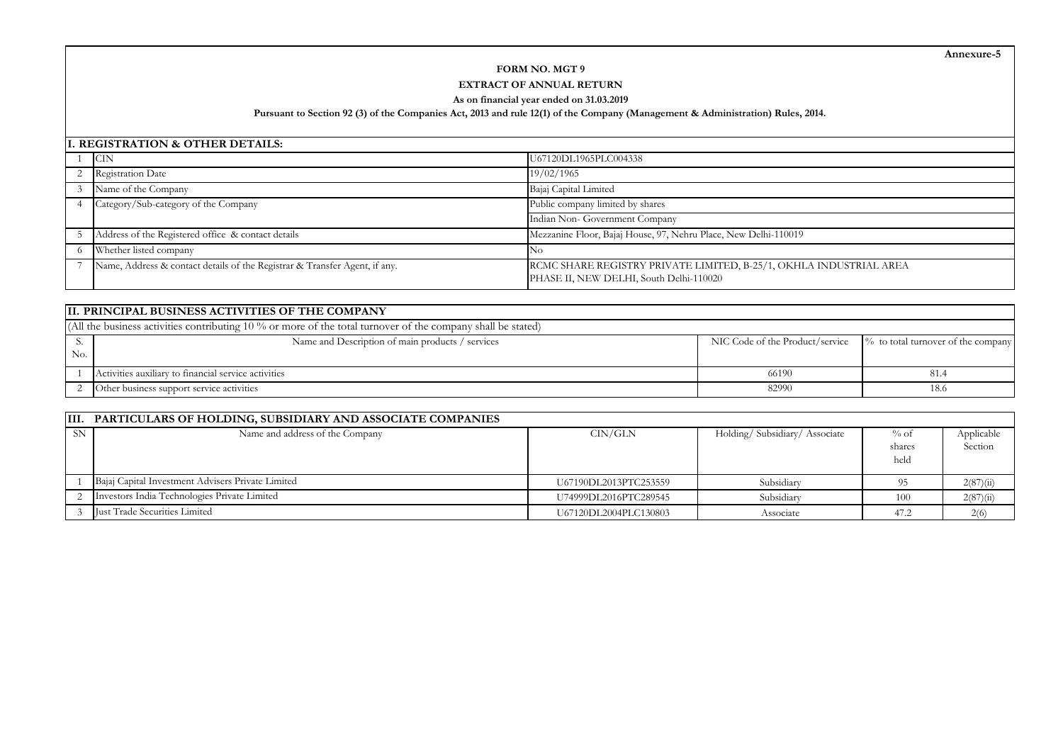**Annexure-5**

# **FORM NO. MGT 9**

## **EXTRACT OF ANNUAL RETURN**

#### **As on financial year ended on 31.03.2019**

#### **Pursuant to Section 92 (3) of the Companies Act, 2013 and rule 12(1) of the Company (Management & Administration) Rules, 2014.**

#### **I. REGISTRATION & OTHER DETAILS:**

| <b>CIN</b>                                                                 | U67120DL1965PLC004338                                                                                         |  |  |
|----------------------------------------------------------------------------|---------------------------------------------------------------------------------------------------------------|--|--|
| <b>Registration Date</b>                                                   | 19/02/1965                                                                                                    |  |  |
| Name of the Company                                                        | Bajaj Capital Limited                                                                                         |  |  |
| Category/Sub-category of the Company                                       | Public company limited by shares                                                                              |  |  |
|                                                                            | Indian Non- Government Company                                                                                |  |  |
| Address of the Registered office & contact details                         | Mezzanine Floor, Bajaj House, 97, Nehru Place, New Delhi-110019                                               |  |  |
| Whether listed company                                                     |                                                                                                               |  |  |
| Name, Address & contact details of the Registrar & Transfer Agent, if any. | RCMC SHARE REGISTRY PRIVATE LIMITED, B-25/1, OKHLA INDUSTRIAL AREA<br>PHASE II, NEW DELHI, South Delhi-110020 |  |  |

|     | III. PRINCIPAL BUSINESS ACTIVITIES OF THE COMPANY                                                               |                                 |                                    |  |  |  |  |  |
|-----|-----------------------------------------------------------------------------------------------------------------|---------------------------------|------------------------------------|--|--|--|--|--|
|     | (All the business activities contributing 10 $\%$ or more of the total turnover of the company shall be stated) |                                 |                                    |  |  |  |  |  |
|     | Name and Description of main products / services                                                                | NIC Code of the Product/service | % to total turnover of the company |  |  |  |  |  |
| No. |                                                                                                                 |                                 |                                    |  |  |  |  |  |
|     | Activities auxiliary to financial service activities                                                            | 66190                           | -81.4                              |  |  |  |  |  |
|     | Other business support service activities                                                                       | 82990                           | 18.6                               |  |  |  |  |  |

|           | III. PARTICULARS OF HOLDING, SUBSIDIARY AND ASSOCIATE COMPANIES |                       |                              |                           |                       |
|-----------|-----------------------------------------------------------------|-----------------------|------------------------------|---------------------------|-----------------------|
| <b>SN</b> | Name and address of the Company                                 | $\text{CIN/GLN}$      | Holding/Subsidiary/Associate | $\%$ of<br>shares<br>held | Applicable<br>Section |
|           | Bajaj Capital Investment Advisers Private Limited               | U67190DL2013PTC253559 | Subsidiary                   |                           | 2(87)(ii)             |
|           | Investors India Technologies Private Limited                    | U74999DL2016PTC289545 | Subsidiary                   | 100                       | 2(87)(ii)             |
|           | <b>Iust Trade Securities Limited</b>                            | U67120DL2004PLC130803 | Associate                    | 47.2                      | 2(6)                  |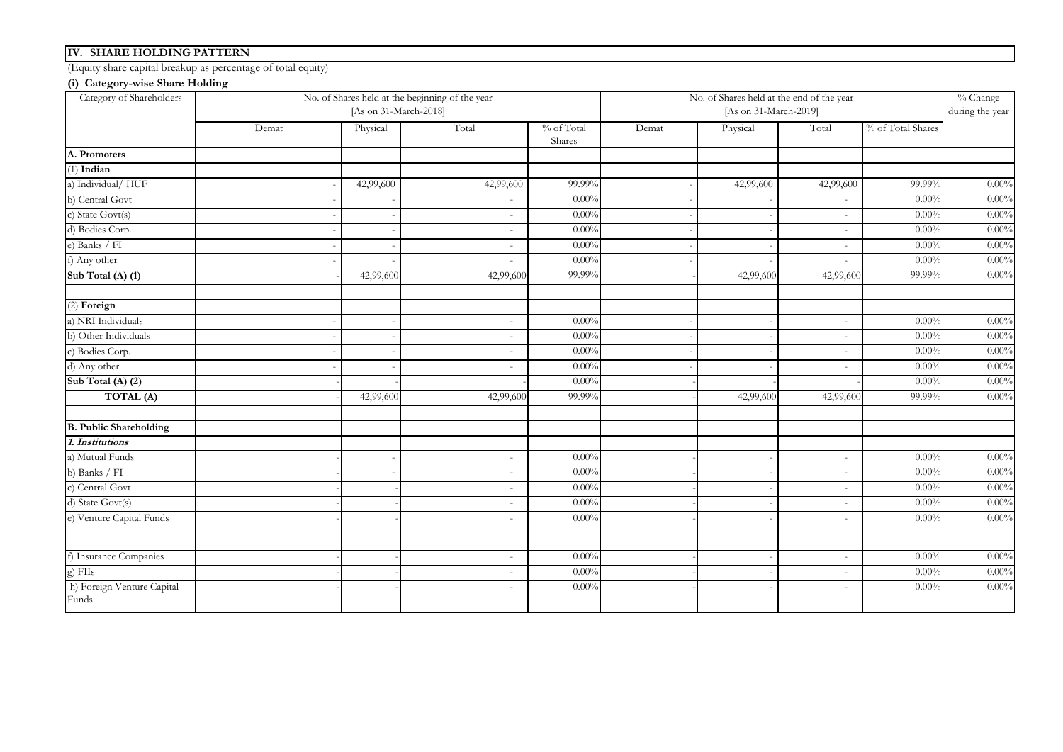## **IV. SHARE HOLDING PATTERN**

(Equity share capital breakup as percentage of total equity)

## **(i) Category-wise Share Holding**

| Category of Shareholders            |       | [As on 31-March-2018] | No. of Shares held at the beginning of the year                                                                                                                                                                                                                                                                                                                                                                                                                            |                      | No. of Shares held at the end of the year<br>[As on 31-March-2019] |           |                          |                   | % Change<br>during the year |
|-------------------------------------|-------|-----------------------|----------------------------------------------------------------------------------------------------------------------------------------------------------------------------------------------------------------------------------------------------------------------------------------------------------------------------------------------------------------------------------------------------------------------------------------------------------------------------|----------------------|--------------------------------------------------------------------|-----------|--------------------------|-------------------|-----------------------------|
|                                     | Demat | Physical              | Total                                                                                                                                                                                                                                                                                                                                                                                                                                                                      | % of Total<br>Shares | Demat                                                              | Physical  | Total                    | % of Total Shares |                             |
| A. Promoters                        |       |                       |                                                                                                                                                                                                                                                                                                                                                                                                                                                                            |                      |                                                                    |           |                          |                   |                             |
| $(1)$ Indian                        |       |                       |                                                                                                                                                                                                                                                                                                                                                                                                                                                                            |                      |                                                                    |           |                          |                   |                             |
| a) Individual/HUF                   |       | 42,99,600             | 42,99,600                                                                                                                                                                                                                                                                                                                                                                                                                                                                  | 99.99%               |                                                                    | 42,99,600 | 42,99,600                | 99.99%            | $0.00\%$                    |
| b) Central Govt                     |       |                       |                                                                                                                                                                                                                                                                                                                                                                                                                                                                            | $0.00\%$             |                                                                    |           |                          | $0.00\%$          | $0.00\%$                    |
| c) State Govt(s)                    |       |                       | ÷                                                                                                                                                                                                                                                                                                                                                                                                                                                                          | $0.00\%$             |                                                                    |           |                          | 0.00%             | $0.00\%$                    |
| d) Bodies Corp.                     |       |                       | $\sim$                                                                                                                                                                                                                                                                                                                                                                                                                                                                     | 0.00%                |                                                                    |           | $\sim$                   | 0.00%             | $0.00\%$                    |
| e) Banks / FI                       |       |                       | $\sim$                                                                                                                                                                                                                                                                                                                                                                                                                                                                     | $0.00\%$             |                                                                    |           | $\sim$                   | $0.00\%$          | $0.00\%$                    |
| f) Any other                        |       |                       | ÷                                                                                                                                                                                                                                                                                                                                                                                                                                                                          | $0.00\%$             |                                                                    |           | ٠                        | 0.00%             | $0.00\%$                    |
| Sub Total (A) (1)                   |       | 42,99,600             | 42,99,600                                                                                                                                                                                                                                                                                                                                                                                                                                                                  | 99.99%               |                                                                    | 42,99,600 | 42,99,600                | 99.99%            | $0.00\%$                    |
| (2) Foreign                         |       |                       |                                                                                                                                                                                                                                                                                                                                                                                                                                                                            |                      |                                                                    |           |                          |                   |                             |
| a) NRI Individuals                  |       |                       | $\sim$                                                                                                                                                                                                                                                                                                                                                                                                                                                                     | $0.00\%$             |                                                                    |           | $\sim$                   | 0.00%             | $0.00\%$                    |
| b) Other Individuals                |       |                       | $\sim$                                                                                                                                                                                                                                                                                                                                                                                                                                                                     | $0.00\%$             |                                                                    |           | $\sim$                   | $0.00\%$          | $0.00\%$                    |
| c) Bodies Corp.                     |       |                       | ÷.                                                                                                                                                                                                                                                                                                                                                                                                                                                                         | $0.00\%$             |                                                                    |           | ٠                        | $0.00\%$          | $0.00\%$                    |
| d) Any other                        |       |                       | $\sim$                                                                                                                                                                                                                                                                                                                                                                                                                                                                     | $0.00\%$             |                                                                    |           | $\sim$                   | 0.00%             | $0.00\%$                    |
| Sub Total (A) $(2)$                 |       |                       |                                                                                                                                                                                                                                                                                                                                                                                                                                                                            | $0.00\%$             |                                                                    |           |                          | $0.00\%$          | $0.00\%$                    |
| TOTAL (A)                           |       | 42,99,600             | 42,99,600                                                                                                                                                                                                                                                                                                                                                                                                                                                                  | 99.99%               |                                                                    | 42,99,600 | 42,99,600                | 99.99%            | $0.00\%$                    |
| <b>B. Public Shareholding</b>       |       |                       |                                                                                                                                                                                                                                                                                                                                                                                                                                                                            |                      |                                                                    |           |                          |                   |                             |
| 1. Institutions                     |       |                       |                                                                                                                                                                                                                                                                                                                                                                                                                                                                            |                      |                                                                    |           |                          |                   |                             |
| a) Mutual Funds                     |       |                       | $\sim$                                                                                                                                                                                                                                                                                                                                                                                                                                                                     | $0.00\%$             |                                                                    |           | $\sim$                   | 0.00%             | $0.00\%$                    |
| b) Banks / FI                       |       |                       | $\overline{a}$                                                                                                                                                                                                                                                                                                                                                                                                                                                             | $0.00\%$             |                                                                    |           | $\overline{a}$           | 0.00%             | $0.00\%$                    |
| c) Central Govt                     |       |                       | ÷.                                                                                                                                                                                                                                                                                                                                                                                                                                                                         | $0.00\%$             |                                                                    |           | $\overline{a}$           | 0.00%             | $0.00\%$                    |
| d) State Govt(s)                    |       |                       | $\frac{1}{2} \left( \frac{1}{2} \right) \left( \frac{1}{2} \right) \left( \frac{1}{2} \right) \left( \frac{1}{2} \right) \left( \frac{1}{2} \right) \left( \frac{1}{2} \right) \left( \frac{1}{2} \right) \left( \frac{1}{2} \right) \left( \frac{1}{2} \right) \left( \frac{1}{2} \right) \left( \frac{1}{2} \right) \left( \frac{1}{2} \right) \left( \frac{1}{2} \right) \left( \frac{1}{2} \right) \left( \frac{1}{2} \right) \left( \frac{1}{2} \right) \left( \frac$ | $0.00\%$             |                                                                    |           | $\overline{\phantom{m}}$ | $0.00\%$          | $0.00\%$                    |
| e) Venture Capital Funds            |       |                       | $\equiv$                                                                                                                                                                                                                                                                                                                                                                                                                                                                   | $0.00\%$             |                                                                    |           | $\sim$                   | 0.00%             | $0.00\%$                    |
| f) Insurance Companies              |       |                       | ÷                                                                                                                                                                                                                                                                                                                                                                                                                                                                          | $0.00\%$             |                                                                    |           | ٠                        | $0.00\%$          | $0.00\%$                    |
| g) FIIs                             |       |                       | $\sim$                                                                                                                                                                                                                                                                                                                                                                                                                                                                     | $0.00\%$             |                                                                    |           | $\sim$                   | 0.00%             | $0.00\%$                    |
| h) Foreign Venture Capital<br>Funds |       |                       | $\sim$                                                                                                                                                                                                                                                                                                                                                                                                                                                                     | $0.00\%$             |                                                                    |           | $\sim$                   | $0.00\%$          | $0.00\%$                    |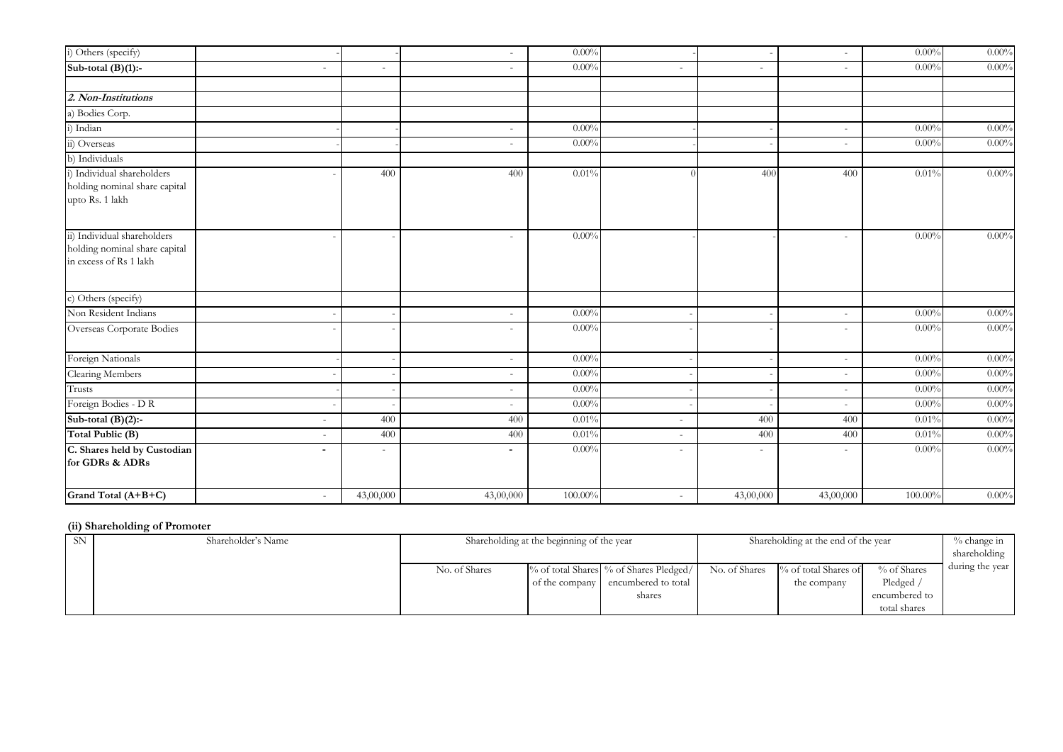| i) Others (specify)                                                                    |                          |                          | $\sim$                   | $0.00\%$ |                          |                          | $\sim$         | 0.00%    | $0.00\%$ |
|----------------------------------------------------------------------------------------|--------------------------|--------------------------|--------------------------|----------|--------------------------|--------------------------|----------------|----------|----------|
| Sub-total $(B)(1)$ :-                                                                  | $\sim$                   | $\sim$                   | $\equiv$                 | $0.00\%$ | $\sim$                   | $\overline{\phantom{a}}$ | $\sim$         | $0.00\%$ | $0.00\%$ |
|                                                                                        |                          |                          |                          |          |                          |                          |                |          |          |
| 2. Non-Institutions                                                                    |                          |                          |                          |          |                          |                          |                |          |          |
| a) Bodies Corp.                                                                        |                          |                          |                          |          |                          |                          |                |          |          |
| i) Indian                                                                              |                          |                          | $\sim$                   | $0.00\%$ |                          |                          | $\sim$         | $0.00\%$ | $0.00\%$ |
| ii) Overseas                                                                           |                          |                          | $\equiv$                 | $0.00\%$ |                          |                          | $\sim$         | $0.00\%$ | $0.00\%$ |
| b) Individuals                                                                         |                          |                          |                          |          |                          |                          |                |          |          |
| i) Individual shareholders<br>holding nominal share capital<br>upto Rs. 1 lakh         |                          | 400                      | 400                      | 0.01%    |                          | 400                      | 400            | 0.01%    | $0.00\%$ |
| ii) Individual shareholders<br>holding nominal share capital<br>in excess of Rs 1 lakh |                          |                          | $\equiv$                 | $0.00\%$ |                          |                          | $\sim$         | $0.00\%$ | $0.00\%$ |
| c) Others (specify)                                                                    |                          |                          |                          |          |                          |                          |                |          |          |
| Non Resident Indians                                                                   |                          |                          | ÷                        | $0.00\%$ |                          |                          | $\overline{a}$ | $0.00\%$ | $0.00\%$ |
| Overseas Corporate Bodies                                                              |                          |                          | ÷                        | $0.00\%$ |                          |                          | $\overline{a}$ | $0.00\%$ | $0.00\%$ |
| Foreign Nationals                                                                      |                          |                          | $\sim$                   | $0.00\%$ |                          |                          | ٠              | $0.00\%$ | $0.00\%$ |
| Clearing Members                                                                       |                          |                          | $\overline{\phantom{a}}$ | $0.00\%$ |                          |                          | $\overline{a}$ | $0.00\%$ | $0.00\%$ |
| Trusts                                                                                 |                          |                          | $\sim$                   | $0.00\%$ |                          |                          | $\overline{a}$ | 0.00%    | 0.00%    |
| Foreign Bodies - D R                                                                   |                          |                          | $\overline{\phantom{a}}$ | $0.00\%$ |                          |                          |                | 0.00%    | $0.00\%$ |
| Sub-total $(B)(2)$ :-                                                                  | $\overline{\phantom{a}}$ | 400                      | 400                      | 0.01%    | $\overline{\phantom{a}}$ | 400                      | 400            | 0.01%    | $0.00\%$ |
| Total Public (B)                                                                       |                          | 400                      | 400                      | 0.01%    | $\overline{\phantom{a}}$ | 400                      | 400            | 0.01%    | $0.00\%$ |
| C. Shares held by Custodian<br>for GDRs & ADRs                                         | $\blacksquare$           | $\overline{\phantom{a}}$ | ٠                        | $0.00\%$ | $\overline{\phantom{a}}$ |                          |                | $0.00\%$ | $0.00\%$ |
| Grand Total (A+B+C)                                                                    | $\overline{\phantom{a}}$ | 43,00,000                | 43,00,000                | 100.00%  | $\sim$                   | 43,00,000                | 43,00,000      | 100.00%  | $0.00\%$ |

#### **(ii) Shareholding of Promoter**

| <b>SN</b> | Shareholder's Name | Shareholding at the beginning of the year |  |                                                                              | Shareholding at the end of the year |                                     |                               | % change in<br>shareholding |
|-----------|--------------------|-------------------------------------------|--|------------------------------------------------------------------------------|-------------------------------------|-------------------------------------|-------------------------------|-----------------------------|
|           |                    | No. of Shares                             |  | % of total Shares % of Shares Pledged/<br>of the company encumbered to total | No. of Shares                       | % of total Shares of<br>the company | % of Shares<br>Pledged        | during the year             |
|           |                    |                                           |  | shares                                                                       |                                     |                                     | encumbered to<br>total shares |                             |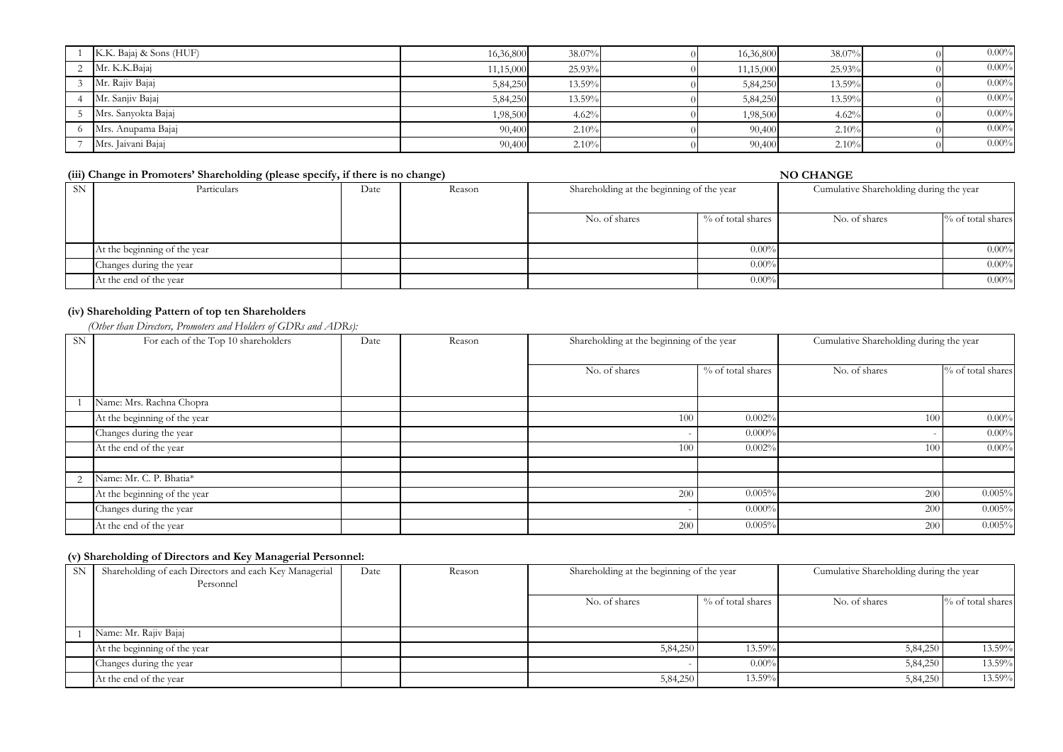| K.K. Bajaj & Sons (HUF) | 16,36,800 | 38.07% | 16,36,800 | 38.07% | $0.00\%$ |
|-------------------------|-----------|--------|-----------|--------|----------|
| Mr. K.K.Bajaj           | 11,15,000 | 25.93% | 11,15,000 | 25.93% | $0.00\%$ |
| Mr. Rajiv Bajaj         | 5,84,250  | 13.59% | 5,84,250  | 13.59% | $0.00\%$ |
| Mr. Sanjiv Bajaj        | 5,84,250  | 13.59% | 5,84,250  | 13.59% | $0.00\%$ |
| Mrs. Sanyokta Bajaj     | 1,98,500  | 4.62%  | 1,98,500  | 4.62%  | $0.00\%$ |
| Mrs. Anupama Bajaj      | 90,400    | 2.10%  | 90,400    | 2.10%  | $0.00\%$ |
| Mrs. Jaivani Bajaj      | 90,400    | 2.10%  | 90,400    | 2.10%  | $0.00\%$ |

|           | (iii) Change in Promoters' Shareholding (please specify, if there is no change) |      |        | <b>NO CHANGE</b>                          |                   |                                         |                   |  |
|-----------|---------------------------------------------------------------------------------|------|--------|-------------------------------------------|-------------------|-----------------------------------------|-------------------|--|
| <b>SN</b> | Particulars                                                                     | Date | Reason | Shareholding at the beginning of the year |                   | Cumulative Shareholding during the year |                   |  |
|           |                                                                                 |      |        | No. of shares                             | % of total shares | No. of shares                           | % of total shares |  |
|           | At the beginning of the year                                                    |      |        |                                           | $0.00\%$          |                                         | $0.00\%$          |  |
|           | Changes during the year                                                         |      |        |                                           | $0.00\%$          |                                         | $0.00\%$          |  |
|           | At the end of the year                                                          |      |        |                                           | $0.00\%$          |                                         | $0.00\%$          |  |

## **(iv) Shareholding Pattern of top ten Shareholders**

 *(Other than Directors, Promoters and Holders of GDRs and ADRs):*

| <b>SN</b> | For each of the Top 10 shareholders | Date | Reason | Shareholding at the beginning of the year |                   | Cumulative Shareholding during the year |                   |
|-----------|-------------------------------------|------|--------|-------------------------------------------|-------------------|-----------------------------------------|-------------------|
|           |                                     |      |        | No. of shares                             | % of total shares | No. of shares                           | % of total shares |
|           |                                     |      |        |                                           |                   |                                         |                   |
|           | Name: Mrs. Rachna Chopra            |      |        |                                           |                   |                                         |                   |
|           | At the beginning of the year        |      |        | 100                                       | 0.002%            | 100                                     | 0.00%             |
|           | Changes during the year             |      |        |                                           | $0.000\%$         |                                         | 0.00%             |
|           | At the end of the year              |      |        | 100                                       | 0.002%            | 100                                     | 0.00%             |
|           |                                     |      |        |                                           |                   |                                         |                   |
| 2         | Name: Mr. C. P. Bhatia*             |      |        |                                           |                   |                                         |                   |
|           | At the beginning of the year        |      |        | 200                                       | 0.005%            | 200                                     | 0.005%            |
|           | Changes during the year             |      |        |                                           | $0.000\%$         | 200                                     | 0.005%            |
|           | At the end of the year              |      |        | 200                                       | 0.005%            | 200                                     | 0.005%            |

#### **(v) Shareholding of Directors and Key Managerial Personnel:**

| <b>SN</b> | Shareholding of each Directors and each Key Managerial<br>Personnel | Date | Reason | Shareholding at the beginning of the year |                   | Cumulative Shareholding during the year |                      |
|-----------|---------------------------------------------------------------------|------|--------|-------------------------------------------|-------------------|-----------------------------------------|----------------------|
|           |                                                                     |      |        | No. of shares                             | % of total shares | No. of shares                           | $\%$ of total shares |
|           | Name: Mr. Rajiv Bajaj                                               |      |        |                                           |                   |                                         |                      |
|           | At the beginning of the year                                        |      |        | 5,84,250                                  | 13.59%            | 5,84,250                                | 13.59%               |
|           | Changes during the year                                             |      |        |                                           | $0.00\%$          | 5,84,250                                | 13.59%               |
|           | At the end of the year                                              |      |        | 5,84,250                                  | 13.59%            | 5,84,250                                | 13.59%               |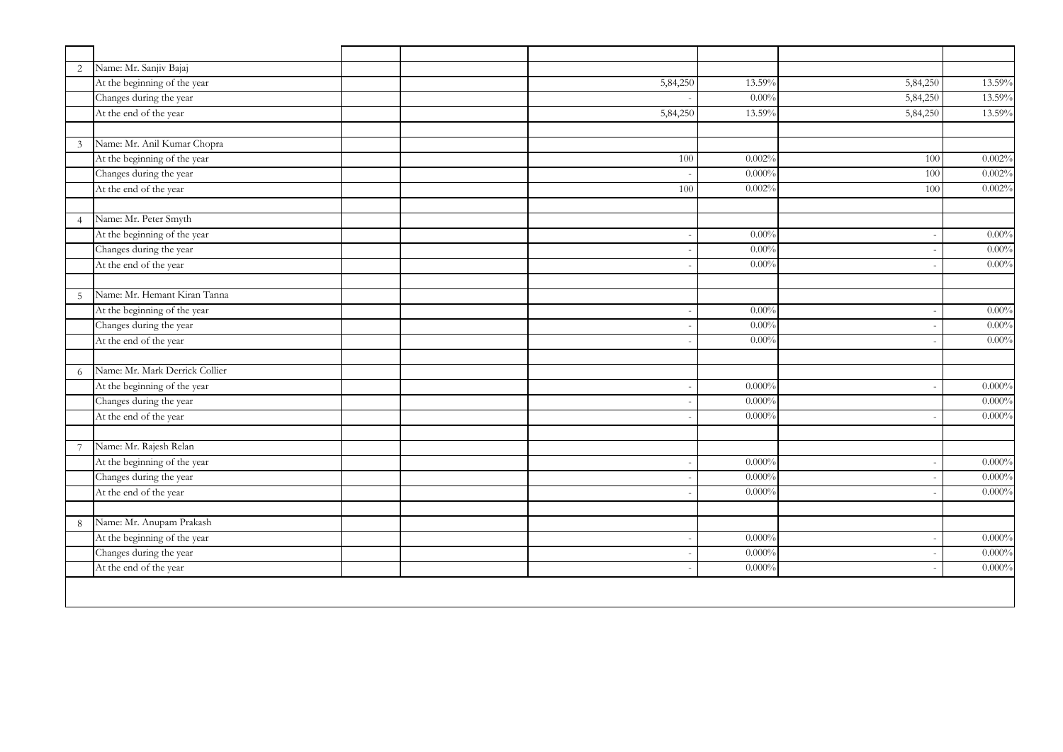| $\overline{2}$ | Name: Mr. Sanjiv Bajaj         |          |           |          |           |
|----------------|--------------------------------|----------|-----------|----------|-----------|
|                | At the beginning of the year   | 5,84,250 | 13.59%    | 5,84,250 | 13.59%    |
|                | Changes during the year        |          | $0.00\%$  | 5,84,250 | 13.59%    |
|                | At the end of the year         | 5,84,250 | 13.59%    | 5,84,250 | 13.59%    |
|                |                                |          |           |          |           |
| $\mathfrak{Z}$ | Name: Mr. Anil Kumar Chopra    |          |           |          |           |
|                | At the beginning of the year   | 100      | 0.002%    | 100      | 0.002%    |
|                | Changes during the year        |          | $0.000\%$ | 100      | 0.002%    |
|                | At the end of the year         | 100      | 0.002%    | 100      | 0.002%    |
|                |                                |          |           |          |           |
| $\overline{4}$ | Name: Mr. Peter Smyth          |          |           |          |           |
|                | At the beginning of the year   |          | $0.00\%$  |          | 0.00%     |
|                | Changes during the year        |          | $0.00\%$  |          | $0.00\%$  |
|                | At the end of the year         |          | $0.00\%$  |          | $0.00\%$  |
|                |                                |          |           |          |           |
| 5              | Name: Mr. Hemant Kiran Tanna   |          |           |          |           |
|                | At the beginning of the year   |          | $0.00\%$  |          | 0.00%     |
|                | Changes during the year        |          | 0.00%     |          | $0.00\%$  |
|                | At the end of the year         |          | $0.00\%$  |          | 0.00%     |
|                |                                |          |           |          |           |
| 6              | Name: Mr. Mark Derrick Collier |          |           |          |           |
|                | At the beginning of the year   |          | 0.000%    |          | 0.000%    |
|                | Changes during the year        |          | $0.000\%$ |          | 0.000%    |
|                | At the end of the year         |          | 0.000%    |          | 0.000%    |
|                |                                |          |           |          |           |
| $\overline{7}$ | Name: Mr. Rajesh Relan         |          |           |          |           |
|                | At the beginning of the year   |          | $0.000\%$ |          | $0.000\%$ |
|                | Changes during the year        |          | $0.000\%$ |          | $0.000\%$ |
|                | At the end of the year         |          | 0.000%    |          | $0.000\%$ |
|                |                                |          |           |          |           |
| 8              | Name: Mr. Anupam Prakash       |          |           |          |           |
|                | At the beginning of the year   |          | $0.000\%$ |          | $0.000\%$ |
|                | Changes during the year        |          | 0.000%    |          | $0.000\%$ |
|                | At the end of the year         |          | 0.000%    |          | 0.000%    |
|                |                                |          |           |          |           |
|                |                                |          |           |          |           |
|                |                                |          |           |          |           |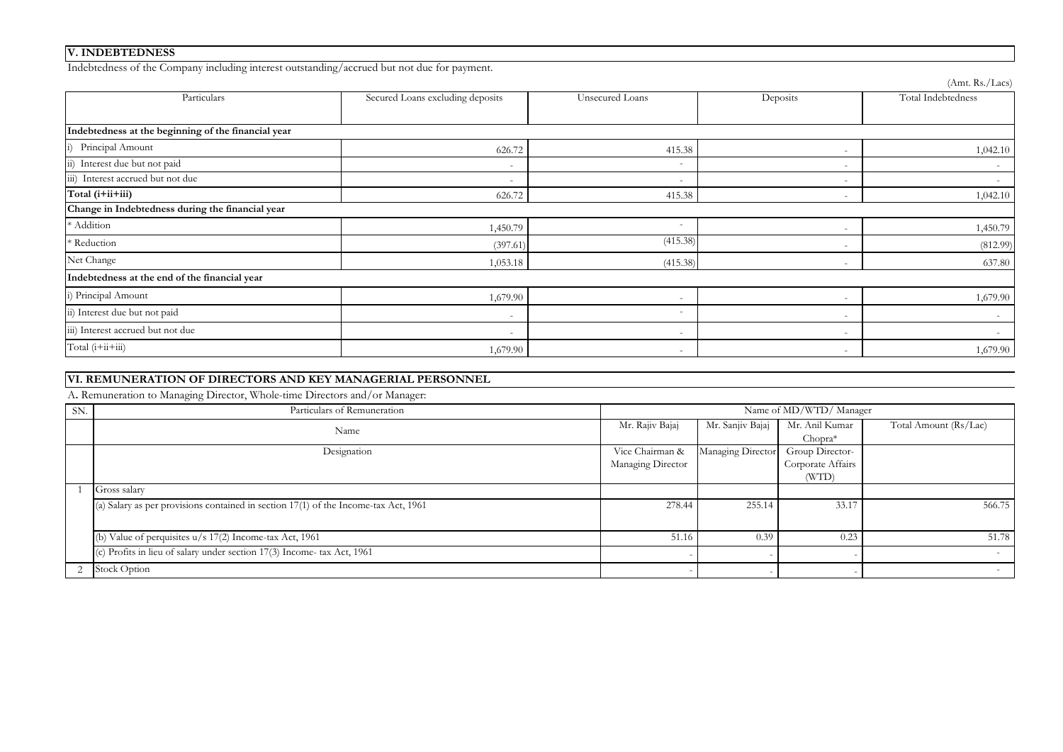## **V. INDEBTEDNESS**

Indebtedness of the Company including interest outstanding/accrued but not due for payment.

| Particulars                                         | Secured Loans excluding deposits | Unsecured Loans          | Deposits                 | Total Indebtedness       |  |  |  |  |  |
|-----------------------------------------------------|----------------------------------|--------------------------|--------------------------|--------------------------|--|--|--|--|--|
|                                                     |                                  |                          |                          |                          |  |  |  |  |  |
| Indebtedness at the beginning of the financial year |                                  |                          |                          |                          |  |  |  |  |  |
| i) Principal Amount                                 | 626.72                           | 415.38                   |                          | 1,042.10                 |  |  |  |  |  |
| Interest due but not paid<br>$\overline{11}$ )      | $\overline{\phantom{a}}$         |                          |                          |                          |  |  |  |  |  |
| iii) Interest accrued but not due                   | $\overline{\phantom{a}}$         | $\overline{\phantom{a}}$ | $\overline{\phantom{a}}$ | $\overline{\phantom{0}}$ |  |  |  |  |  |
| Total (i+ii+iii)                                    | 626.72                           | 415.38                   | $\overline{\phantom{0}}$ | 1,042.10                 |  |  |  |  |  |
| Change in Indebtedness during the financial year    |                                  |                          |                          |                          |  |  |  |  |  |
| * Addition                                          | 1,450.79                         |                          |                          | 1,450.79                 |  |  |  |  |  |
| * Reduction                                         | (397.61)                         | (415.38)                 | $\overline{\phantom{a}}$ | (812.99)                 |  |  |  |  |  |
| Net Change                                          | 1,053.18                         | (415.38)                 | $\overline{\phantom{a}}$ | 637.80                   |  |  |  |  |  |
| Indebtedness at the end of the financial year       |                                  |                          |                          |                          |  |  |  |  |  |
| i) Principal Amount                                 | 1,679.90                         |                          |                          | 1,679.90                 |  |  |  |  |  |
| ii) Interest due but not paid                       | $\overline{\phantom{a}}$         |                          |                          |                          |  |  |  |  |  |
| iii) Interest accrued but not due                   | $\overline{\phantom{a}}$         | $\overline{\phantom{0}}$ | $\overline{\phantom{0}}$ | $\sim$                   |  |  |  |  |  |
| Total (i+ii+iii)                                    | 1,679.90                         | $\overline{\phantom{0}}$ | $\overline{\phantom{0}}$ | 1,679.90                 |  |  |  |  |  |

### **VI. REMUNERATION OF DIRECTORS AND KEY MANAGERIAL PERSONNEL**

A**.** Remuneration to Managing Director, Whole-time Directors and/or Manager:

| SN. | Particulars of Remuneration                                                         | Name of MD/WTD/ Manager |                   |                   |                          |
|-----|-------------------------------------------------------------------------------------|-------------------------|-------------------|-------------------|--------------------------|
|     | Name                                                                                | Mr. Rajiv Bajaj         | Mr. Sanjiv Bajaj  | Mr. Anil Kumar    | Total Amount (Rs/Lac)    |
|     |                                                                                     |                         |                   | $Chopra*$         |                          |
|     | Designation                                                                         | Vice Chairman &         | Managing Director | Group Director-   |                          |
|     |                                                                                     | Managing Director       |                   | Corporate Affairs |                          |
|     |                                                                                     |                         |                   | (WTD)             |                          |
|     | Gross salary                                                                        |                         |                   |                   |                          |
|     | (a) Salary as per provisions contained in section 17(1) of the Income-tax Act, 1961 | 278.44                  | 255.14            | 33.17             | 566.75                   |
|     |                                                                                     |                         |                   |                   |                          |
|     | (b) Value of perquisites u/s 17(2) Income-tax Act, 1961                             | 51.16                   | 0.39              | 0.23              | 51.78                    |
|     | c) Profits in lieu of salary under section 17(3) Income- tax Act, 1961              |                         |                   |                   | $\overline{\phantom{a}}$ |
|     | Stock Option                                                                        |                         |                   |                   |                          |

(Amt. Rs./Lacs)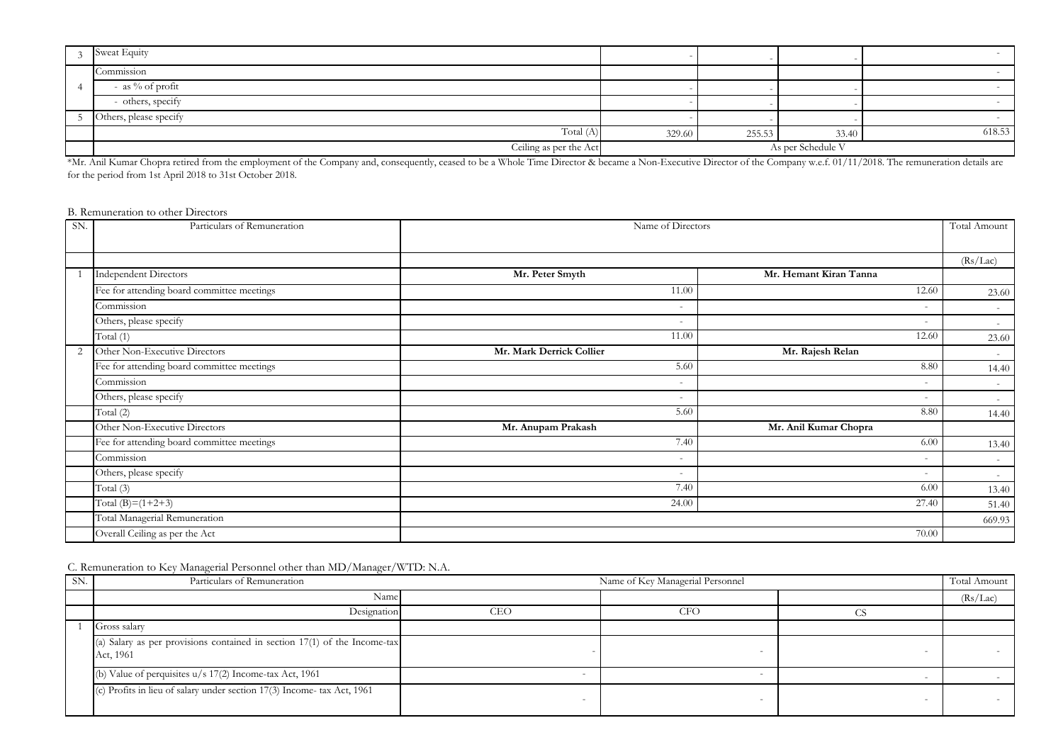| Sweat Equity           |                   |        |       |        |
|------------------------|-------------------|--------|-------|--------|
| Commission             |                   |        |       |        |
| - as $\%$ of profit    |                   |        |       |        |
| - others, specify      |                   |        |       |        |
| Others, please specify |                   |        |       |        |
| Total $(A)$            | 329.60            | 255.53 | 33.40 | 618.53 |
| Ceiling as per the Act | As per Schedule V |        |       |        |

\*Mr. Anil Kumar Chopra retired from the employment of the Company and, consequently, ceased to be a Whole Time Director & became a Non-Executive Director of the Company w.e.f. 01/11/2018. The remuneration details are for the period from 1st April 2018 to 31st October 2018.

B. Remuneration to other Directors

| SN. | Particulars of Remuneration                | Name of Directors        |                          |          |
|-----|--------------------------------------------|--------------------------|--------------------------|----------|
|     |                                            |                          |                          |          |
|     |                                            |                          |                          | (Rs/Lac) |
|     | <b>Independent Directors</b>               | Mr. Peter Smyth          | Mr. Hemant Kiran Tanna   |          |
|     | Fee for attending board committee meetings | 11.00                    | 12.60                    | 23.60    |
|     | Commission                                 | $\overline{\phantom{a}}$ | $\overline{\phantom{a}}$ | $\sim$   |
|     | Others, please specify                     | $\overline{\phantom{0}}$ |                          | $\sim$   |
|     | Total (1)                                  | 11.00                    | 12.60                    | 23.60    |
| 2   | Other Non-Executive Directors              | Mr. Mark Derrick Collier | Mr. Rajesh Relan         | $\sim$   |
|     | Fee for attending board committee meetings | 5.60                     | 8.80                     | 14.40    |
|     | Commission                                 | $\overline{\phantom{a}}$ |                          | $\sim$   |
|     | Others, please specify                     | $\overline{\phantom{a}}$ | $\overline{\phantom{a}}$ | $\sim$   |
|     | Total (2)                                  | 5.60                     | 8.80                     | 14.40    |
|     | Other Non-Executive Directors              | Mr. Anupam Prakash       | Mr. Anil Kumar Chopra    |          |
|     | Fee for attending board committee meetings | 7.40                     | 6.00                     | 13.40    |
|     | Commission                                 | $\overline{\phantom{a}}$ | $\overline{\phantom{0}}$ | $\sim$   |
|     | Others, please specify                     | $\overline{\phantom{m}}$ |                          | $\sim$   |
|     | Total (3)                                  | 7.40                     | 6.00                     | 13.40    |
|     | Total (B)= $(1+2+3)$                       | 24.00                    | 27.40                    | 51.40    |
|     | Total Managerial Remuneration              |                          |                          | 669.93   |
|     | Overall Ceiling as per the Act             |                          | 70.00                    |          |

C. Remuneration to Key Managerial Personnel other than MD/Manager/WTD: N.A.

| SN. | Particulars of Remuneration                                                            | Name of Key Managerial Personnel |     |  | Total Amount |
|-----|----------------------------------------------------------------------------------------|----------------------------------|-----|--|--------------|
|     | Name                                                                                   |                                  |     |  | (Rs/Lac)     |
|     | Designation                                                                            | CEO                              | CFO |  |              |
|     | Gross salary                                                                           |                                  |     |  |              |
|     | (a) Salary as per provisions contained in section 17(1) of the Income-tax<br>Act, 1961 |                                  |     |  |              |
|     | (b) Value of perquisites $u/s$ 17(2) Income-tax Act, 1961                              |                                  |     |  |              |
|     | (c) Profits in lieu of salary under section 17(3) Income- tax Act, 1961                |                                  |     |  |              |